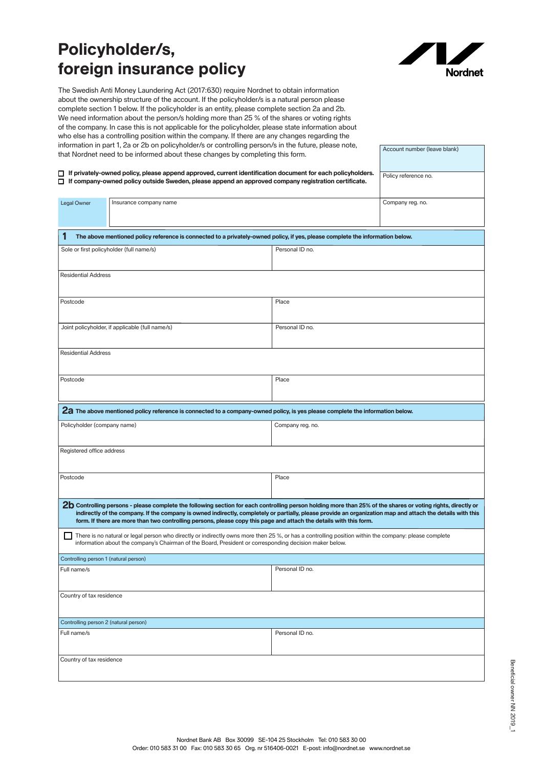## **Policyholder/s, foreign insurance policy**



Account number (leave blank)

The Swedish Anti Money Laundering Act (2017:630) require Nordnet to obtain information about the ownership structure of the account. If the policyholder/s is a natural person please complete section 1 below. If the policyholder is an entity, please complete section 2a and 2b. We need information about the person/s holding more than 25 % of the shares or voting rights of the company. In case this is not applicable for the policyholder, please state information about who else has a controlling position within the company. If there are any changes regarding the information in part 1, 2a or 2b on policyholder/s or controlling person/s in the future, please note, that Nordnet need to be informed about these changes by completing this form.

| □ If privately-owned policy, please append approved, current identification document for each policyholders.                                                                                                                                                     | Policy reference no.                                                                                                                                                                                                                                                                                                                                                                                                                              |                  |                  |
|------------------------------------------------------------------------------------------------------------------------------------------------------------------------------------------------------------------------------------------------------------------|---------------------------------------------------------------------------------------------------------------------------------------------------------------------------------------------------------------------------------------------------------------------------------------------------------------------------------------------------------------------------------------------------------------------------------------------------|------------------|------------------|
|                                                                                                                                                                                                                                                                  | $\Box$ If company-owned policy outside Sweden, please append an approved company registration certificate.                                                                                                                                                                                                                                                                                                                                        |                  |                  |
| Legal Owner                                                                                                                                                                                                                                                      | Insurance company name                                                                                                                                                                                                                                                                                                                                                                                                                            |                  | Company reg. no. |
|                                                                                                                                                                                                                                                                  |                                                                                                                                                                                                                                                                                                                                                                                                                                                   |                  |                  |
|                                                                                                                                                                                                                                                                  |                                                                                                                                                                                                                                                                                                                                                                                                                                                   |                  |                  |
| 1                                                                                                                                                                                                                                                                | The above mentioned policy reference is connected to a privately-owned policy, if yes, please complete the information below.                                                                                                                                                                                                                                                                                                                     |                  |                  |
| Sole or first policyholder (full name/s)                                                                                                                                                                                                                         |                                                                                                                                                                                                                                                                                                                                                                                                                                                   | Personal ID no.  |                  |
| <b>Residential Address</b>                                                                                                                                                                                                                                       |                                                                                                                                                                                                                                                                                                                                                                                                                                                   |                  |                  |
|                                                                                                                                                                                                                                                                  |                                                                                                                                                                                                                                                                                                                                                                                                                                                   |                  |                  |
| Postcode                                                                                                                                                                                                                                                         |                                                                                                                                                                                                                                                                                                                                                                                                                                                   | Place            |                  |
| Joint policyholder, if applicable (full name/s)                                                                                                                                                                                                                  |                                                                                                                                                                                                                                                                                                                                                                                                                                                   | Personal ID no.  |                  |
|                                                                                                                                                                                                                                                                  |                                                                                                                                                                                                                                                                                                                                                                                                                                                   |                  |                  |
| <b>Residential Address</b>                                                                                                                                                                                                                                       |                                                                                                                                                                                                                                                                                                                                                                                                                                                   |                  |                  |
|                                                                                                                                                                                                                                                                  |                                                                                                                                                                                                                                                                                                                                                                                                                                                   |                  |                  |
| Postcode                                                                                                                                                                                                                                                         |                                                                                                                                                                                                                                                                                                                                                                                                                                                   | Place            |                  |
|                                                                                                                                                                                                                                                                  |                                                                                                                                                                                                                                                                                                                                                                                                                                                   |                  |                  |
|                                                                                                                                                                                                                                                                  | 2a The above mentioned policy reference is connected to a company-owned policy, is yes please complete the information below.                                                                                                                                                                                                                                                                                                                     |                  |                  |
| Policyholder (company name)                                                                                                                                                                                                                                      |                                                                                                                                                                                                                                                                                                                                                                                                                                                   | Company reg. no. |                  |
|                                                                                                                                                                                                                                                                  |                                                                                                                                                                                                                                                                                                                                                                                                                                                   |                  |                  |
| Registered office address                                                                                                                                                                                                                                        |                                                                                                                                                                                                                                                                                                                                                                                                                                                   |                  |                  |
|                                                                                                                                                                                                                                                                  |                                                                                                                                                                                                                                                                                                                                                                                                                                                   |                  |                  |
| Postcode                                                                                                                                                                                                                                                         |                                                                                                                                                                                                                                                                                                                                                                                                                                                   | Place            |                  |
|                                                                                                                                                                                                                                                                  |                                                                                                                                                                                                                                                                                                                                                                                                                                                   |                  |                  |
|                                                                                                                                                                                                                                                                  | 2b Controlling persons - please complete the following section for each controlling person holding more than 25% of the shares or voting rights, directly or<br>indirectly of the company. If the company is owned indirectly, completely or partially, please provide an organization map and attach the details with this<br>form. If there are more than two controlling persons, please copy this page and attach the details with this form. |                  |                  |
| There is no natural or legal person who directly or indirectly owns more then 25 %, or has a controlling position within the company: please complete<br>information about the company's Chairman of the Board, President or corresponding decision maker below. |                                                                                                                                                                                                                                                                                                                                                                                                                                                   |                  |                  |
| Controlling person 1 (natural person)                                                                                                                                                                                                                            |                                                                                                                                                                                                                                                                                                                                                                                                                                                   |                  |                  |
| Full name/s                                                                                                                                                                                                                                                      |                                                                                                                                                                                                                                                                                                                                                                                                                                                   | Personal ID no.  |                  |
|                                                                                                                                                                                                                                                                  |                                                                                                                                                                                                                                                                                                                                                                                                                                                   |                  |                  |
| Country of tax residence                                                                                                                                                                                                                                         |                                                                                                                                                                                                                                                                                                                                                                                                                                                   |                  |                  |
|                                                                                                                                                                                                                                                                  |                                                                                                                                                                                                                                                                                                                                                                                                                                                   |                  |                  |
| Controlling person 2 (natural person)                                                                                                                                                                                                                            |                                                                                                                                                                                                                                                                                                                                                                                                                                                   |                  |                  |
| Full name/s                                                                                                                                                                                                                                                      |                                                                                                                                                                                                                                                                                                                                                                                                                                                   | Personal ID no.  |                  |
| Country of tax residence                                                                                                                                                                                                                                         |                                                                                                                                                                                                                                                                                                                                                                                                                                                   |                  |                  |
|                                                                                                                                                                                                                                                                  |                                                                                                                                                                                                                                                                                                                                                                                                                                                   |                  |                  |